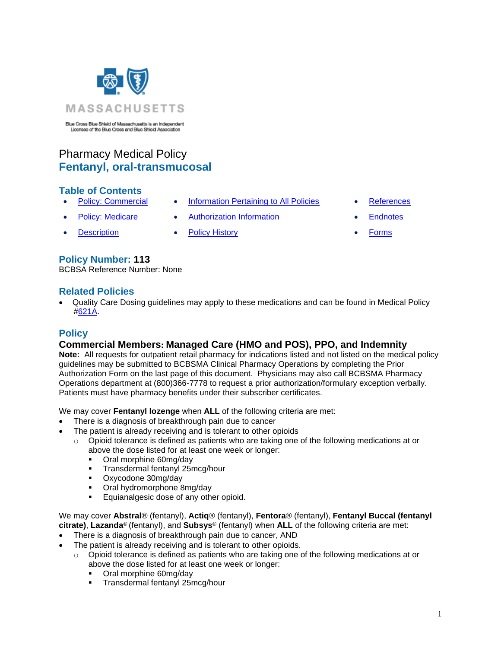

Blue Cross Blue Shield of Massachusetts is an Independent Licensee of the Blue Cross and Blue Shield Association

# Pharmacy Medical Policy **Fentanyl, oral-transmucosal**

#### **Table of Contents**

- 
- 
- [Description](#page-1-1) [Policy History](#page-1-2) **[Forms](http://www.bluecrossma.org/medical-policies/sites/g/files/csphws2091/files/acquiadam-assets/023%20E%20Form%20medication%20prior%20auth%20instruction%20prn.pdf)**
- [Policy: Commercial](#page-0-0) [Information Pertaining to All Policies](#page-1-0) [References](#page-2-0)
	- [Policy: Medicare](#page-0-0) Authorization Information [Endnotes](#page-2-1)
- 
- -

#### **Policy Number: 113**

BCBSA Reference Number: None

#### **Related Policies**

• Quality Care Dosing guidelines may apply to these medications and can be found in Medical Policy [#621A.](http://www.bluecrossma.org/medical-policies/sites/g/files/csphws2091/files/acquiadam-assets/621A%20Quality%20Care%20Dosing%20Guidelines%20prn.pdf)

## <span id="page-0-0"></span>**Policy**

## **Commercial Members: Managed Care (HMO and POS), PPO, and Indemnity**

**Note:** All requests for outpatient retail pharmacy for indications listed and not listed on the medical policy guidelines may be submitted to BCBSMA Clinical Pharmacy Operations by completing the Prior Authorization Form on the last page of this document. Physicians may also call BCBSMA Pharmacy Operations department at (800)366-7778 to request a prior authorization/formulary exception verbally. Patients must have pharmacy benefits under their subscriber certificates.

We may cover **Fentanyl lozenge** when **ALL** of the following criteria are met:

- There is a diagnosis of breakthrough pain due to cancer
- The patient is already receiving and is tolerant to other opioids
	- $\circ$  Opioid tolerance is defined as patients who are taking one of the following medications at or above the dose listed for at least one week or longer:
		- Oral morphine 60mg/day
		- Transdermal fentanyl 25mcg/hour
		- Oxycodone 30mg/day
		- Oral hydromorphone 8mg/day
		- Equianalgesic dose of any other opioid.

We may cover **Abstral**® (fentanyl), **Actiq**® (fentanyl), **Fentora**® (fentanyl), **Fentanyl Buccal (fentanyl citrate)**, **Lazanda**® (fentanyl), and **Subsys**® (fentanyl) when **ALL** of the following criteria are met:

- There is a diagnosis of breakthrough pain due to cancer, AND
- The patient is already receiving and is tolerant to other opioids.
	- $\circ$  Opioid tolerance is defined as patients who are taking one of the following medications at or above the dose listed for at least one week or longer:
		- Oral morphine 60mg/day
		- Transdermal fentanyl 25mcg/hour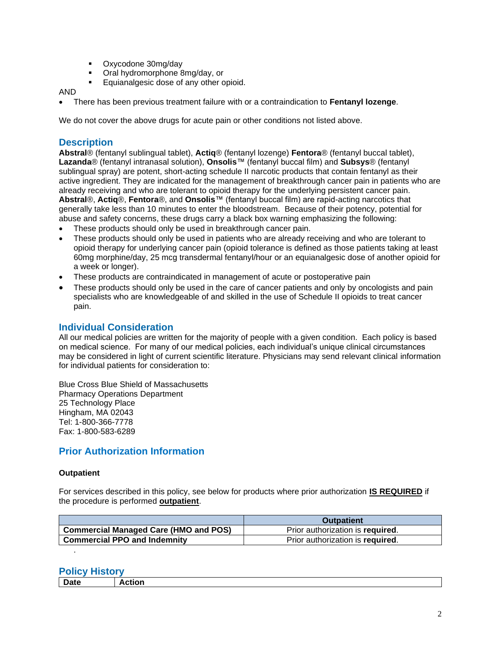- Oxycodone 30mg/day
- Oral hydromorphone 8mg/day, or
	- Equianalgesic dose of any other opioid.

#### AND

• There has been previous treatment failure with or a contraindication to **Fentanyl lozenge**.

We do not cover the above drugs for acute pain or other conditions not listed above.

#### <span id="page-1-1"></span>**Description**

**Abstral**® (fentanyl sublingual tablet), **Actiq**® (fentanyl lozenge) **Fentora**® (fentanyl buccal tablet), **Lazanda**® (fentanyl intranasal solution), **Onsolis**™ (fentanyl buccal film) and **Subsys**® (fentanyl sublingual spray) are potent, short-acting schedule II narcotic products that contain fentanyl as their active ingredient. They are indicated for the management of breakthrough cancer pain in patients who are already receiving and who are tolerant to opioid therapy for the underlying persistent cancer pain. **Abstral**®, **Actiq**®, **Fentora**®, and **Onsolis**™ (fentanyl buccal film) are rapid-acting narcotics that generally take less than 10 minutes to enter the bloodstream. Because of their potency, potential for abuse and safety concerns, these drugs carry a black box warning emphasizing the following:

- These products should only be used in breakthrough cancer pain.
- These products should only be used in patients who are already receiving and who are tolerant to opioid therapy for underlying cancer pain (opioid tolerance is defined as those patients taking at least 60mg morphine/day, 25 mcg transdermal fentanyl/hour or an equianalgesic dose of another opioid for a week or longer).
- These products are contraindicated in management of acute or postoperative pain
- These products should only be used in the care of cancer patients and only by oncologists and pain specialists who are knowledgeable of and skilled in the use of Schedule II opioids to treat cancer pain.

#### <span id="page-1-0"></span>**Individual Consideration**

All our medical policies are written for the majority of people with a given condition. Each policy is based on medical science. For many of our medical policies, each individual's unique clinical circumstances may be considered in light of current scientific literature. Physicians may send relevant clinical information for individual patients for consideration to:

Blue Cross Blue Shield of Massachusetts Pharmacy Operations Department 25 Technology Place Hingham, MA 02043 Tel: 1-800-366-7778 Fax: 1-800-583-6289

## **Prior Authorization Information**

#### **Outpatient**

For services described in this policy, see below for products where prior authorization **IS REQUIRED** if the procedure is performed **outpatient**.

|                                              | <b>Outpatient</b>                |
|----------------------------------------------|----------------------------------|
| <b>Commercial Managed Care (HMO and POS)</b> | Prior authorization is required. |
| <b>Commercial PPO and Indemnity</b>          | Prior authorization is required. |
|                                              |                                  |

<span id="page-1-2"></span>**Policy History**

| <b>Date</b> | $-1 - -$ |
|-------------|----------|
|             |          |